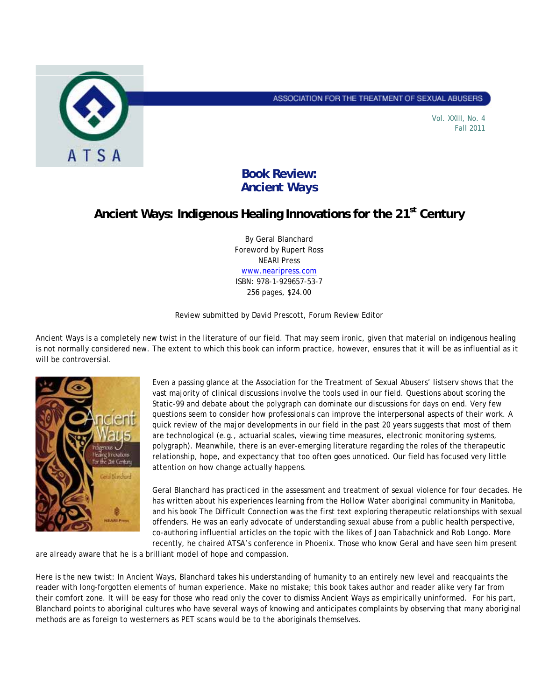

ASSOCIATION FOR THE TREATMENT OF SEXUAL ABUSERS

Vol. XXIII, No. 4 Fall 2011

## **Book Review:**  *Ancient Ways*

## **Ancient Ways: Indigenous Healing Innovations for the 21st Century**

By Geral Blanchard Foreword by Rupert Ross NEARI Press www.nearipress.com ISBN: 978-1-929657-53-7 256 pages, \$24.00

Review submitted by David Prescott, Forum Review Editor

*Ancient Ways* is a completely new twist in the literature of our field. That may seem ironic, given that material on indigenous healing is not normally considered new. The extent to which this book can inform practice, however, ensures that it will be as influential as it will be controversial.



Even a passing glance at the Association for the Treatment of Sexual Abusers' listserv shows that the vast majority of clinical discussions involve the tools used in our field. Questions about scoring the Static-99 and debate about the polygraph can dominate our discussions for days on end. Very few questions seem to consider how professionals can improve the interpersonal aspects of their work. A quick review of the major developments in our field in the past 20 years suggests that most of them are technological (e.g., actuarial scales, viewing time measures, electronic monitoring systems, polygraph). Meanwhile, there is an ever-emerging literature regarding the roles of the therapeutic relationship, hope, and expectancy that too often goes unnoticed. Our field has focused very little attention on how change actually happens.

Geral Blanchard has practiced in the assessment and treatment of sexual violence for four decades. He has written about his experiences learning from the *Hollow Water* aboriginal community in Manitoba, and his book *The Difficult Connection* was the first text exploring therapeutic relationships with sexual offenders. He was an early advocate of understanding sexual abuse from a public health perspective, co-authoring influential articles on the topic with the likes of Joan Tabachnick and Rob Longo. More recently, he chaired ATSA's conference in Phoenix. Those who know Geral and have seen him present

are already aware that he is a brilliant model of hope and compassion.

Here is the new twist: In *Ancient Ways*, Blanchard takes his understanding of humanity to an entirely new level and reacquaints the reader with long-forgotten elements of human experience. Make no mistake; this book takes author and reader alike very far from their comfort zone. It will be easy for those who read only the cover to dismiss *Ancient Ways* as empirically uninformed. For his part, Blanchard points to aboriginal cultures who have several ways of knowing and anticipates complaints by observing that many aboriginal methods are as foreign to westerners as PET scans would be to the aboriginals themselves.